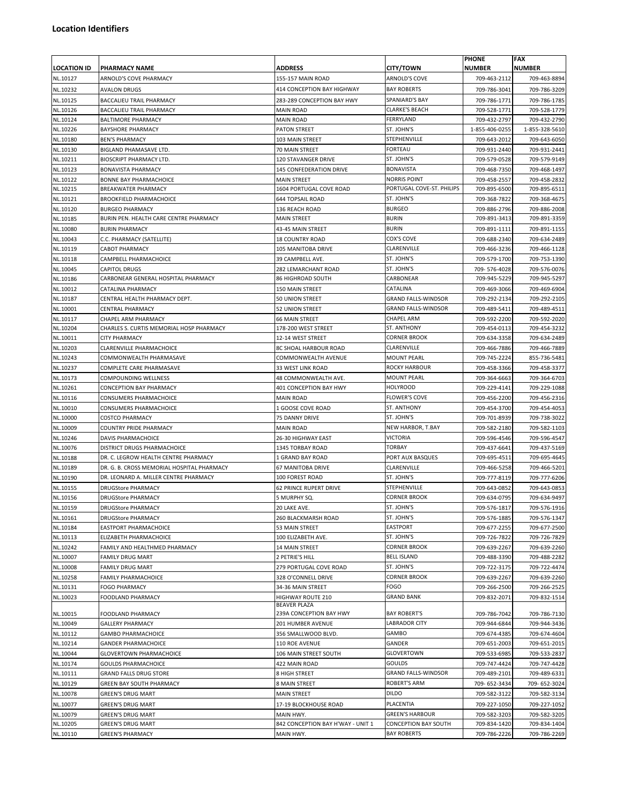| <b>LOCATION ID</b>   | <b>PHARMACY NAME</b>                                        | <b>ADDRESS</b>                                 | <b>CITY/TOWN</b>                                      | <b>PHONE</b><br><b>NUMBER</b> | <b>FAX</b><br><b>NUMBER</b>  |
|----------------------|-------------------------------------------------------------|------------------------------------------------|-------------------------------------------------------|-------------------------------|------------------------------|
| NL.10127             | ARNOLD'S COVE PHARMACY                                      | 155-157 MAIN ROAD                              | ARNOLD'S COVE                                         | 709-463-2112                  | 709-463-8894                 |
| NL.10232             | AVALON DRUGS                                                | 414 CONCEPTION BAY HIGHWAY                     | <b>BAY ROBERTS</b>                                    | 709-786-3041                  | 709-786-3209                 |
| NL.10125             | BACCALIEU TRAIL PHARMACY                                    | 283-289 CONCEPTION BAY HWY                     | SPANIARD'S BAY                                        | 709-786-1771                  | 709-786-1785                 |
| NL.10126             | <b>BACCALIEU TRAIL PHARMACY</b>                             | MAIN ROAD                                      | <b>CLARKE'S BEACH</b>                                 | 709-528-1771                  | 709-528-1779                 |
| NL.10124             | <b>BALTIMORE PHARMACY</b>                                   | MAIN ROAD                                      | FERRYLAND                                             | 709-432-2797                  | 709-432-2790                 |
| NL.10226             | <b>BAYSHORE PHARMACY</b>                                    | <b>PATON STREET</b>                            | ST. JOHN'S                                            | 1-855-406-0255                | 1-855-328-5610               |
| NL.10180             | <b>BEN'S PHARMACY</b>                                       | 103 MAIN STREET                                | STEPHENVILLE                                          | 709-643-2012                  | 709-643-6050                 |
| NL.10130             | BIGLAND PHAMASAVE LTD.                                      | 70 MAIN STREET                                 | <b>FORTEAU</b>                                        | 709-931-2440                  | 709-931-2441                 |
| NL.10211             | <b>BIOSCRIPT PHARMACY LTD.</b>                              | 120 STAVANGER DRIVE                            | ST. JOHN'S                                            | 709-579-0528                  | 709-579-9149                 |
| NL.10123             | <b>BONAVISTA PHARMACY</b>                                   | 145 CONFEDERATION DRIVE                        | <b>BONAVISTA</b>                                      | 709-468-7350                  | 709-468-1497                 |
| NL.10122<br>NL.10215 | <b>BONNE BAY PHARMACHOICE</b><br><b>BREAKWATER PHARMACY</b> | <b>MAIN STREET</b><br>1604 PORTUGAL COVE ROAD  | <b>NORRIS POINT</b><br>PORTUGAL COVE-ST. PHILIPS      | 709-458-2557<br>709-895-6500  | 709-458-2832                 |
| NL.10121             | <b>BROOKFIELD PHARMACHOICE</b>                              | <b>644 TOPSAIL ROAD</b>                        | ST. JOHN'S                                            | 709-368-7822                  | 709-895-6511<br>709-368-4675 |
| NL.10120             | <b>BURGEO PHARMACY</b>                                      | 136 REACH ROAD                                 | <b>BURGEO</b>                                         | 709-886-2796                  | 709-886-2008                 |
| NL.10185             | BURIN PEN. HEALTH CARE CENTRE PHARMACY                      | <b>MAIN STREET</b>                             | <b>BURIN</b>                                          | 709-891-3413                  | 709-891-3359                 |
| NL.10080             | <b>BURIN PHARMACY</b>                                       | 43-45 MAIN STREET                              | <b>BURIN</b>                                          | 709-891-1111                  | 709-891-1155                 |
| NL.10043             | C.C. PHARMACY (SATELLITE)                                   | <b>18 COUNTRY ROAD</b>                         | COX'S COVE                                            | 709-688-2340                  | 709-634-2489                 |
| NL.10119             | <b>CABOT PHARMACY</b>                                       | 105 MANITOBA DRIVE                             | CLARENVILLE                                           | 709-466-3236                  | 709-466-1128                 |
| NL.10118             | CAMPBELL PHARMACHOICE                                       | 39 CAMPBELL AVE.                               | ST. JOHN'S                                            | 709-579-1700                  | 709-753-1390                 |
| NL.10045             | <b>CAPITOL DRUGS</b>                                        | 282 LEMARCHANT ROAD                            | ST. JOHN'S                                            | 709-576-4028                  | 709-576-0076                 |
| NL.10186             | CARBONEAR GENERAL HOSPITAL PHARMACY                         | <b>86 HIGHROAD SOUTH</b>                       | CARBONEAR                                             | 709-945-5229                  | 709-945-5297                 |
| NL.10012             | CATALINA PHARMACY                                           | 150 MAIN STREET                                | CATALINA                                              | 709-469-3066                  | 709-469-6904                 |
| NL.10187             | CENTRAL HEALTH PHARMACY DEPT.                               | 50 UNION STREET                                | <b>GRAND FALLS-WINDSOR</b>                            | 709-292-2134                  | 709-292-2105                 |
| NL.10001             | CENTRAL PHARMACY                                            | 52 UNION STREET                                | <b>GRAND FALLS-WINDSOR</b>                            | 709-489-5411                  | 709-489-4511                 |
| NL.10117             | CHAPEL ARM PHARMACY                                         | <b>66 MAIN STREET</b>                          | <b>CHAPEL ARM</b>                                     | 709-592-2200                  | 709-592-2020                 |
| NL.10204             | CHARLES S. CURTIS MEMORIAL HOSP PHARMACY                    | 178-200 WEST STREET                            | ST. ANTHONY                                           | 709-454-0113                  | 709-454-3232                 |
| NL.10011             | <b>CITY PHARMACY</b>                                        | 12-14 WEST STREET                              | <b>CORNER BROOK</b>                                   | 709-634-3358                  | 709-634-2489                 |
| NL.10203             | CLARENVILLE PHARMACHOICE                                    | 8C SHOAL HARBOUR ROAD                          | CLARENVILLE                                           | 709-466-7886                  | 709-466-7889                 |
| NL.10243             | COMMONWEALTH PHARMASAVE                                     | COMMONWEALTH AVENUE                            | MOUNT PEARL                                           | 709-745-2224                  | 855-736-5481                 |
| NL.10237             | COMPLETE CARE PHARMASAVE                                    | 33 WEST LINK ROAD                              | <b>ROCKY HARBOUR</b>                                  | 709-458-3366                  | 709-458-3377                 |
| NL.10173             | COMPOUNDING WELLNESS                                        | 48 COMMONWEALTH AVE.                           | <b>MOUNT PEARL</b>                                    | 709-364-6663                  | 709-364-6703                 |
| NL.10261             | CONCEPTION BAY PHARMACY                                     | 401 CONCEPTION BAY HWY                         | <b>HOLYROOD</b>                                       | 709-229-4141                  | 709-229-1088                 |
| NL.10116<br>NL.10010 | CONSUMERS PHARMACHOICE<br>CONSUMERS PHARMACHOICE            | <b>MAIN ROAD</b><br>1 GOOSE COVE ROAD          | <b>FLOWER'S COVE</b><br>ST. ANTHONY                   | 709-456-2200<br>709-454-3700  | 709-456-2316<br>709-454-4053 |
| NL.10000             | <b>COSTCO PHARMACY</b>                                      | 75 DANNY DRIVE                                 | ST. JOHN'S                                            | 709-701-8939                  | 709-738-3022                 |
| NL.10009             | COUNTRY PRIDE PHARMACY                                      | MAIN ROAD                                      | NEW HARBOR, T.BAY                                     | 709-582-2180                  | 709-582-1103                 |
| NL.10246             | DAVIS PHARMACHOICE                                          | 26-30 HIGHWAY EAST                             | VICTORIA                                              | 709-596-4546                  | 709-596-4547                 |
| NL.10076             | DISTRICT DRUGS PHARMACHOICE                                 | 1345 TORBAY ROAD                               | <b>TORBAY</b>                                         | 709-437-6641                  | 709-437-5169                 |
| NL.10188             | DR. C. LEGROW HEALTH CENTRE PHARMACY                        | 1 GRAND BAY ROAD                               | PORT AUX BASQUES                                      | 709-695-4511                  | 709-695-4645                 |
| NL.10189             | DR. G. B. CROSS MEMORIAL HOSPITAL PHARMACY                  | 67 MANITOBA DRIVE                              | CLARENVILLE                                           | 709-466-5258                  | 709-466-5201                 |
| NL.10190             | DR. LEONARD A. MILLER CENTRE PHARMACY                       | 100 FOREST ROAD                                | ST. JOHN'S                                            | 709-777-8119                  | 709-777-6206                 |
| NL.10155             | <b>DRUGStore PHARMACY</b>                                   | <b>62 PRINCE RUPERT DRIVE</b>                  | STEPHENVILLE                                          | 709-643-0852                  | 709-643-0853                 |
| NL.10156             | <b>DRUGStore PHARMACY</b>                                   | 5 MURPHY SQ.                                   | <b>CORNER BROOK</b>                                   | 709-634-0795                  | 709-634-9497                 |
| NL.10159             | <b>DRUGStore PHARMACY</b>                                   | 20 LAKE AVE.                                   | ST. JOHN'S                                            | 709-576-1817                  | 709-576-1916                 |
| NL.10161             | <b>DRUGStore PHARMACY</b>                                   | 260 BLACKMARSH ROAD                            | ST. JOHN'S                                            | 709-576-1885                  | 709-576-1347                 |
| NL.10184             | EASTPORT PHARMACHOICE                                       | 53 MAIN STREET                                 | EASTPORT                                              | 709-677-2255                  | 709-677-2500                 |
| NL.10113             | ELIZABETH PHARMACHOICE                                      | 100 ELIZABETH AVE.                             | ST. JOHN'S                                            | 709-726-7822                  | 709-726-7829                 |
| NL.10242             | FAMILY AND HEALTHMED PHARMACY                               | 14 MAIN STREET                                 | <b>CORNER BROOK</b>                                   | 709-639-2267                  | 709-639-2260                 |
| NL.10007             | FAMILY DRUG MART                                            | 2 PETRIE'S HILL                                | <b>BELL ISLAND</b><br>ST. JOHN'S                      | 709-488-3390                  | 709-488-2282                 |
| NL.10008             | FAMILY DRUG MART                                            | 279 PORTUGAL COVE ROAD<br>328 O'CONNELL DRIVE  | <b>CORNER BROOK</b>                                   | 709-722-3175                  | 709-722-4474                 |
| NL.10258<br>NL.10131 | FAMILY PHARMACHOICE<br>FOGO PHARMACY                        | 34-36 MAIN STREET                              | FOGO                                                  | 709-639-2267<br>709-266-2500  | 709-639-2260<br>709-266-2525 |
| NL.10023             | FOODLAND PHARMACY                                           | HIGHWAY ROUTE 210                              | <b>GRAND BANK</b>                                     | 709-832-2071                  | 709-832-1514                 |
|                      |                                                             | <b>BEAVER PLAZA</b>                            |                                                       |                               |                              |
| NL.10015             | FOODLAND PHARMACY                                           | 239A CONCEPTION BAY HWY                        | <b>BAY ROBERT'S</b>                                   | 709-786-7042                  | 709-786-7130                 |
| NL.10049             | <b>GALLERY PHARMACY</b>                                     | 201 HUMBER AVENUE                              | LABRADOR CITY                                         | 709-944-6844                  | 709-944-3436                 |
| NL.10112             | <b>GAMBO PHARMACHOICE</b>                                   | 356 SMALLWOOD BLVD.                            | GAMBO                                                 | 709-674-4385                  | 709-674-4604                 |
| NL.10214             | <b>GANDER PHARMACHOICE</b>                                  | 110 ROE AVENUE                                 | GANDER                                                | 709-651-2003                  | 709-651-2015                 |
| NL.10044             | <b>GLOVERTOWN PHARMACHOICE</b>                              | 106 MAIN STREET SOUTH                          | GLOVERTOWN                                            | 709-533-6985                  | 709-533-2837                 |
| NL.10174             | <b>GOULDS PHARMACHOICE</b>                                  | 422 MAIN ROAD                                  | GOULDS                                                | 709-747-4424                  | 709-747-4428                 |
| NL.10111             | <b>GRAND FALLS DRUG STORE</b>                               | 8 HIGH STREET                                  | <b>GRAND FALLS-WINDSOR</b>                            | 709-489-2101                  | 709-489-6331                 |
| NL.10129             | GREEN BAY SOUTH PHARMACY                                    | 8 MAIN STREET                                  | ROBERT'S ARM                                          | 709-652-3434                  | 709-652-3024                 |
| NL.10078             | <b>GREEN'S DRUG MART</b>                                    | MAIN STREET                                    | <b>DILDO</b>                                          | 709-582-3122                  | 709-582-3134                 |
| NL.10077             | <b>GREEN'S DRUG MART</b>                                    | 17-19 BLOCKHOUSE ROAD                          | PLACENTIA                                             | 709-227-1050                  | 709-227-1052                 |
| NL.10079<br>NL.10205 | <b>GREEN'S DRUG MART</b><br><b>GREEN'S DRUG MART</b>        | MAIN HWY.<br>842 CONCEPTION BAY H'WAY - UNIT 1 | <b>GREEN'S HARBOUR</b><br><b>CONCEPTION BAY SOUTH</b> | 709-582-3203<br>709-834-1420  | 709-582-3205<br>709-834-1404 |
| NL.10110             | <b>GREEN'S PHARMACY</b>                                     | MAIN HWY.                                      | <b>BAY ROBERTS</b>                                    | 709-786-2226                  | 709-786-2269                 |
|                      |                                                             |                                                |                                                       |                               |                              |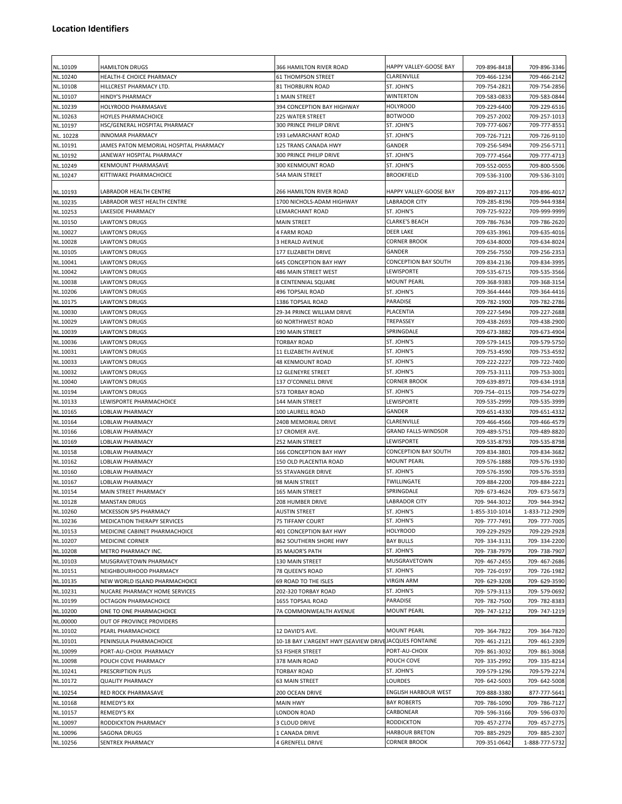| NL.10109             | <b>HAMILTON DRUGS</b>                                               | 366 HAMILTON RIVER ROAD                                | HAPPY VALLEY-GOOSE BAY                    | 709-896-8418                 | 709-896-3346                 |
|----------------------|---------------------------------------------------------------------|--------------------------------------------------------|-------------------------------------------|------------------------------|------------------------------|
| NL.10240             | HEALTH-E CHOICE PHARMACY                                            | <b>61 THOMPSON STREET</b>                              | CLARENVILLE                               | 709-466-1234                 | 709-466-2142                 |
| NL.10108             | HILLCREST PHARMACY LTD.                                             | <b>81 THORBURN ROAD</b>                                | ST. JOHN'S                                | 709-754-2821                 | 709-754-2856                 |
| NL.10107             | <b>HINDY'S PHARMACY</b>                                             | 1 MAIN STREET                                          | <b>WINTERTON</b>                          | 709-583-0833                 | 709-583-0844                 |
| NL.10239             | HOLYROOD PHARMASAVE                                                 | 394 CONCEPTION BAY HIGHWAY                             | <b>HOLYROOD</b>                           | 709-229-6400                 | 709-229-6516                 |
| NL.10263             | HOYLES PHARMACHOICE                                                 | <b>225 WATER STREET</b>                                | <b>BOTWOOD</b>                            | 709-257-2002                 | 709-257-1013                 |
| NL.10197             | HSC/GENERAL HOSPITAL PHARMACY                                       | 300 PRINCE PHILIP DRIVE                                | ST. JOHN'S                                | 709-777-6067                 | 709-777-8551                 |
| NL. 10228            | <b>INNOMAR PHARMACY</b>                                             | 193 LeMARCHANT ROAD                                    | ST. JOHN'S                                | 709-726-7121                 | 709-726-9110                 |
| NL.10191             | JAMES PATON MEMORIAL HOSPITAL PHARMACY<br>JANEWAY HOSPITAL PHARMACY | 125 TRANS CANADA HWY<br><b>300 PRINCE PHILIP DRIVE</b> | GANDER<br>ST. JOHN'S                      | 709-256-5494                 | 709-256-5711                 |
| NL.10192<br>NL.10249 | KENMOUNT PHARMASAVE                                                 | <b>300 KENMOUNT ROAD</b>                               | ST. JOHN'S                                | 709-777-4564<br>709-552-0055 | 709-777-4713                 |
| NL.10247             | KITTIWAKE PHARMACHOICE                                              | 54A MAIN STREET                                        | <b>BROOKFIELD</b>                         | 709-536-3100                 | 709-800-5506<br>709-536-3101 |
|                      |                                                                     |                                                        |                                           |                              |                              |
| NL.10193             | LABRADOR HEALTH CENTRE                                              | 266 HAMILTON RIVER ROAD                                | HAPPY VALLEY-GOOSE BAY                    | 709-897-2117                 | 709-896-4017                 |
| NL.10235             | LABRADOR WEST HEALTH CENTRE                                         | 1700 NICHOLS-ADAM HIGHWAY                              | <b>LABRADOR CITY</b>                      | 709-285-8196                 | 709-944-9384                 |
| NL.10253             | LAKESIDE PHARMACY                                                   | LEMARCHANT ROAD                                        | ST. JOHN'S<br><b>CLARKE'S BEACH</b>       | 709-725-9222                 | 709-999-9999                 |
| NL.10150<br>NL.10027 | <b>LAWTON'S DRUGS</b><br><b>LAWTON'S DRUGS</b>                      | <b>MAIN STREET</b><br>4 FARM ROAD                      | <b>DEER LAKE</b>                          | 709-786-7634<br>709-635-3961 | 709-786-2620<br>709-635-4016 |
| NL.10028             | LAWTON'S DRUGS                                                      | 3 HERALD AVENUE                                        | <b>CORNER BROOK</b>                       | 709-634-8000                 | 709-634-8024                 |
| NL.10105             | <b>LAWTON'S DRUGS</b>                                               | 177 ELIZABETH DRIVE                                    | GANDER                                    | 709-256-7550                 | 709-256-2353                 |
| NL.10041             | LAWTON'S DRUGS                                                      | 645 CONCEPTION BAY HWY                                 | CONCEPTION BAY SOUTH                      | 709-834-2136                 | 709-834-3995                 |
| NL.10042             | <b>LAWTON'S DRUGS</b>                                               | 486 MAIN STREET WEST                                   | LEWISPORTE                                | 709-535-6715                 | 709-535-3566                 |
| NL.10038             | <b>LAWTON'S DRUGS</b>                                               | <b>8 CENTENNIAL SQUARE</b>                             | <b>MOUNT PEARL</b>                        | 709-368-9383                 | 709-368-3154                 |
| NL.10206             | LAWTON'S DRUGS                                                      | 496 TOPSAIL ROAD                                       | ST. JOHN'S                                | 709-364-4444                 | 709-364-4416                 |
| NL.10175             | <b>LAWTON'S DRUGS</b>                                               | 1386 TOPSAIL ROAD                                      | PARADISE                                  | 709-782-1900                 | 709-782-2786                 |
| NL.10030             | LAWTON'S DRUGS                                                      | 29-34 PRINCE WILLIAM DRIVE                             | PLACENTIA                                 | 709-227-5494                 | 709-227-2688                 |
| NL.10029             | LAWTON'S DRUGS                                                      | 60 NORTHWEST ROAD                                      | TREPASSEY                                 | 709-438-2693                 | 709-438-2900                 |
| NL.10039             | <b>LAWTON'S DRUGS</b>                                               | <b>190 MAIN STREET</b>                                 | SPRINGDALE                                | 709-673-3882                 | 709-673-4904                 |
| NL.10036             | <b>LAWTON'S DRUGS</b>                                               | <b>TORBAY ROAD</b>                                     | ST. JOHN'S                                | 709-579-1415                 | 709-579-5750                 |
| NL.10031             | LAWTON'S DRUGS                                                      | 11 ELIZABETH AVENUE                                    | ST. JOHN'S                                | 709-753-4590                 | 709-753-4592                 |
| NL.10033             | LAWTON'S DRUGS                                                      | <b>48 KENMOUNT ROAD</b>                                | ST. JOHN'S                                | 709-222-2227                 | 709-722-7400                 |
| NL.10032             | <b>LAWTON'S DRUGS</b>                                               | 12 GLENEYRE STREET                                     | ST. JOHN'S                                | 709-753-3111                 | 709-753-3001                 |
| NL.10040             | LAWTON'S DRUGS                                                      | 137 O'CONNELL DRIVE                                    | <b>CORNER BROOK</b>                       | 709-639-8971                 | 709-634-1918                 |
| NL.10194             | <b>LAWTON'S DRUGS</b>                                               | 573 TORBAY ROAD                                        | ST. JOHN'S                                | 709-754--0115                | 709-754-0279                 |
| NL.10133             | LEWISPORTE PHARMACHOICE                                             | 144 MAIN STREET                                        | LEWISPORTE                                | 709-535-2999                 | 709-535-3999                 |
| NL.10165             | LOBLAW PHARMACY                                                     | 100 LAURELL ROAD                                       | GANDER                                    | 709-651-4330                 | 709-651-4332                 |
| NL.10164             | LOBLAW PHARMACY                                                     | 240B MEMORIAL DRIVE                                    | CLARENVILLE<br><b>GRAND FALLS-WINDSOR</b> | 709-466-4566                 | 709-466-4579                 |
| NL.10166<br>NL.10169 | LOBLAW PHARMACY<br>LOBLAW PHARMACY                                  | 17 CROMER AVE.<br>252 MAIN STREET                      | LEWISPORTE                                | 709-489-5751<br>709-535-8793 | 709-489-8820<br>709-535-8798 |
| NL.10158             | LOBLAW PHARMACY                                                     | 166 CONCEPTION BAY HWY                                 | <b>CONCEPTION BAY SOUTH</b>               | 709-834-3801                 | 709-834-3682                 |
| NL.10162             | LOBLAW PHARMACY                                                     | 150 OLD PLACENTIA ROAD                                 | MOUNT PEARL                               | 709-576-1888                 | 709-576-1930                 |
| NL.10160             | LOBLAW PHARMACY                                                     | 55 STAVANGER DRIVE                                     | ST. JOHN'S                                | 709-576-3590                 | 709-576-3593                 |
| NL.10167             | LOBLAW PHARMACY                                                     | 98 MAIN STREET                                         | TWILLINGATE                               | 709-884-2200                 | 709-884-2221                 |
| NL.10154             | <b>MAIN STREET PHARMACY</b>                                         | 165 MAIN STREET                                        | SPRINGDALE                                | 709-673-4624                 | 709-673-5673                 |
| NL.10128             | <b>MANSTAN DRUGS</b>                                                | 208 HUMBER DRIVE                                       | LABRADOR CITY                             | 709-944-3012                 | 709-944-3942                 |
| NL.10260             | MCKESSON SPS PHARMACY                                               | <b>AUSTIN STREET</b>                                   | ST. JOHN'S                                | 1-855-310-1014               | 1-833-712-2909               |
| NL.10236             | MEDICATION THERAPY SERVICES                                         | 75 TIFFANY COURT                                       | ST. JOHN'S                                | 709-777-7491                 | 709-777-7005                 |
| NL.10153             | MEDICINE CABINET PHARMACHOICE                                       | 401 CONCEPTION BAY HWY                                 | <b>HOLYROOD</b>                           | 709-229-2929                 | 709-229-2928                 |
| NL.10207             | MEDICINE CORNER                                                     | 862 SOUTHERN SHORE HWY                                 | <b>BAY BULLS</b>                          | 709-334-3131                 | 709-334-2200                 |
| NL.10208             | METRO PHARMACY INC.                                                 | 35 MAJOR'S PATH                                        | ST. JOHN'S                                | 709-738-7979                 | 709-738-7907                 |
| NL.10103             | MUSGRAVETOWN PHARMACY                                               | 130 MAIN STREET                                        | MUSGRAVETOWN                              | 709-467-2455                 | 709-467-2686                 |
| NL.10151             | NEIGHBOURHOOD PHARMACY                                              | 78 QUEEN'S ROAD                                        | ST. JOHN'S                                | 709-726-0197                 | 709-726-1982                 |
| NL.10135             | NEW WORLD ISLAND PHARMACHOICE                                       | 69 ROAD TO THE ISLES                                   | VIRGIN ARM                                | 709-629-3208                 | 709-629-3590                 |
| NL.10231             | NUCARE PHARMACY HOME SERVICES                                       | 202-320 TORBAY ROAD                                    | ST. JOHN'S                                | 709-579-3113                 | 709-579-0692                 |
| NL.10199<br>NL.10200 | OCTAGON PHARMACHOICE<br>ONE TO ONE PHARMACHOICE                     | 1655 TOPSAIL ROAD<br>7A COMMONWEALTH AVENUE            | PARADISE<br><b>MOUNT PEARL</b>            | 709-782-7500<br>709-747-1212 | 709-782-8383<br>709-747-1219 |
| NL.00000             | OUT OF PROVINCE PROVIDERS                                           |                                                        |                                           |                              |                              |
| NL.10102             | PEARL PHARMACHOICE                                                  | 12 DAVID'S AVE.                                        | <b>MOUNT PEARL</b>                        | 709-364-7822                 | 709-364-7820                 |
| NL.10101             | PENINSULA PHARMACHOICE                                              | 10-18 BAY L'ARGENT HWY (SEAVIEW DRIVEJACQUES FONTAINE  |                                           | 709-461-2121                 | 709-461-2309                 |
| NL.10099             | PORT-AU-CHOIX PHARMACY                                              | 53 FISHER STREET                                       | PORT-AU-CHOIX                             | 709-861-3032                 | 709-861-3068                 |
| NL.10098             | POUCH COVE PHARMACY                                                 | 378 MAIN ROAD                                          | POUCH COVE                                | 709-335-2992                 | 709-335-8214                 |
| NL.10241             | PRESCRIPTION PLUS                                                   | TORBAY ROAD                                            | ST. JOHN'S                                | 709-579-1296                 | 709-579-2274                 |
| NL.10172             | <b>QUALITY PHARMACY</b>                                             | <b>63 MAIN STREET</b>                                  | LOURDES                                   | 709-642-5003                 | 709-642-5008                 |
| NL.10254             | RED ROCK PHARMASAVE                                                 | 200 OCEAN DRIVE                                        | <b>ENGLISH HARBOUR WEST</b>               | 709-888-3380                 | 877-777-5641                 |
| NL.10168             | REMEDY'S RX                                                         | <b>MAIN HWY</b>                                        | <b>BAY ROBERTS</b>                        | 709-786-1090                 | 709-786-7127                 |
| NL.10157             | REMEDY'S RX                                                         | LONDON ROAD                                            | CARBONEAR                                 | 709-596-3166                 | 709-596-0370                 |
| NL.10097             | RODDICKTON PHARMACY                                                 | 3 CLOUD DRIVE                                          | RODDICKTON                                | 709-457-2774                 | 709-457-2775                 |
| NL.10096             | SAGONA DRUGS                                                        | 1 CANADA DRIVE                                         | <b>HARBOUR BRETON</b>                     | 709-885-2929                 | 709-885-2307                 |
| NL.10256             | SENTREX PHARMACY                                                    | 4 GRENFELL DRIVE                                       | CORNER BROOK                              | 709-351-0642                 | 1-888-777-5732               |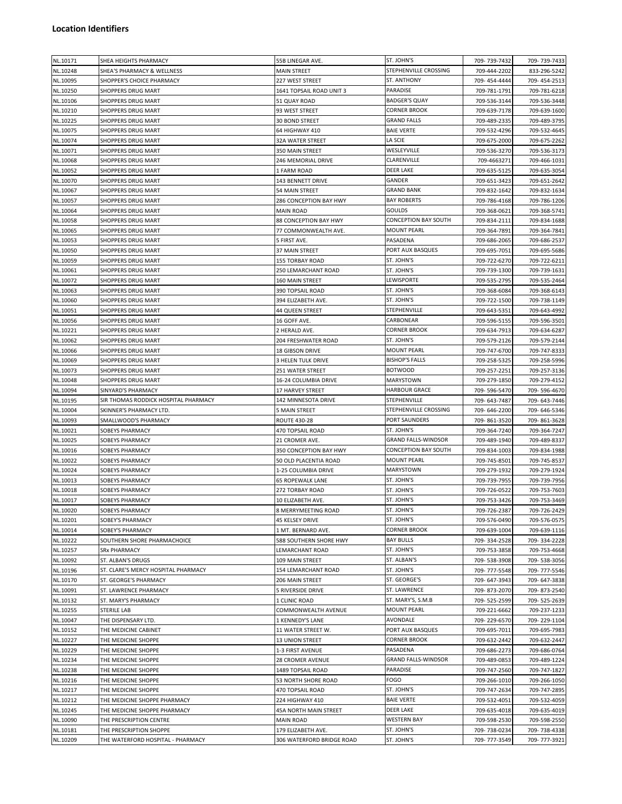## **Location Identifiers**

|          |                                      |                           | ST. JOHN'S                  |              |              |
|----------|--------------------------------------|---------------------------|-----------------------------|--------------|--------------|
| NL.10171 | SHEA HEIGHTS PHARMACY                | 55B LINEGAR AVE.          |                             | 709-739-7432 | 709-739-7433 |
| NL.10248 | SHEA'S PHARMACY & WELLNESS           | MAIN STREET               | STEPHENVILLE CROSSING       | 709-444-2202 | 833-296-5242 |
| NL.10095 | SHOPPER'S CHOICE PHARMACY            | 227 WEST STREET           | ST. ANTHONY                 | 709-454-4444 | 709-454-2513 |
| NL.10250 | SHOPPERS DRUG MART                   | 1641 TOPSAIL ROAD UNIT 3  | PARADISE                    | 709-781-1791 | 709-781-6218 |
| NL.10106 | SHOPPERS DRUG MART                   | 51 QUAY ROAD              | <b>BADGER'S QUAY</b>        | 709-536-3144 | 709-536-3448 |
|          |                                      |                           | <b>CORNER BROOK</b>         |              |              |
| NL.10210 | SHOPPERS DRUG MART                   | 93 WEST STREET            |                             | 709-639-7178 | 709-639-1600 |
| NL.10225 | SHOPPERS DRUG MART                   | 30 BOND STREET            | GRAND FALLS                 | 709-489-2335 | 709-489-3795 |
| NL.10075 | SHOPPERS DRUG MART                   | 64 HIGHWAY 410            | <b>BAIE VERTE</b>           | 709-532-4296 | 709-532-4645 |
| NL.10074 | SHOPPERS DRUG MART                   | <b>32A WATER STREET</b>   | LA SCIE                     | 709-675-2000 | 709-675-2262 |
|          |                                      |                           | WESLEYVILLE                 |              |              |
| NL.10071 | SHOPPERS DRUG MART                   | 350 MAIN STREET           |                             | 709-536-3270 | 709-536-3173 |
| NL.10068 | SHOPPERS DRUG MART                   | 246 MEMORIAL DRIVE        | CLARENVILLE                 | 709-4663271  | 709-466-1031 |
| NL.10052 | SHOPPERS DRUG MART                   | 1 FARM ROAD               | <b>DEER LAKE</b>            | 709-635-5125 | 709-635-3054 |
| NL.10070 | SHOPPERS DRUG MART                   | 143 BENNETT DRIVE         | GANDER                      | 709-651-3423 | 709-651-2642 |
| NL.10067 | SHOPPERS DRUG MART                   | 54 MAIN STREET            | <b>GRAND BANK</b>           | 709-832-1642 | 709-832-1634 |
|          |                                      |                           |                             |              |              |
| NL.10057 | SHOPPERS DRUG MART                   | 286 CONCEPTION BAY HWY    | <b>BAY ROBERTS</b>          | 709-786-4168 | 709-786-1206 |
| NL.10064 | SHOPPERS DRUG MART                   | MAIN ROAD                 | <b>GOULDS</b>               | 709-368-0621 | 709-368-5741 |
| NL.10058 | SHOPPERS DRUG MART                   | 88 CONCEPTION BAY HWY     | <b>CONCEPTION BAY SOUTH</b> | 709-834-2111 | 709-834-1688 |
| NL.10065 | SHOPPERS DRUG MART                   | 77 COMMONWEALTH AVE.      | <b>MOUNT PEARL</b>          | 709-364-7891 | 709-364-7841 |
| NL.10053 | SHOPPERS DRUG MART                   | 5 FIRST AVE.              | PASADENA                    | 709-686-2065 | 709-686-2537 |
|          |                                      |                           |                             |              |              |
| NL.10050 | SHOPPERS DRUG MART                   | 37 MAIN STREET            | PORT AUX BASQUES            | 709-695-7051 | 709-695-5686 |
| NL.10059 | SHOPPERS DRUG MART                   | <b>155 TORBAY ROAD</b>    | ST. JOHN'S                  | 709-722-6270 | 709-722-6211 |
| NL.10061 | SHOPPERS DRUG MART                   | 250 LEMARCHANT ROAD       | ST. JOHN'S                  | 709-739-1300 | 709-739-1631 |
| NL.10072 | SHOPPERS DRUG MART                   | 160 MAIN STREET           | LEWISPORTE                  | 709-535-2795 | 709-535-2464 |
| NL.10063 | SHOPPERS DRUG MART                   |                           | ST. JOHN'S                  |              |              |
|          |                                      | 390 TOPSAIL ROAD          |                             | 709-368-6084 | 709-368-6143 |
| NL.10060 | SHOPPERS DRUG MART                   | 394 ELIZABETH AVE.        | ST. JOHN'S                  | 709-722-1500 | 709-738-1149 |
| NL.10051 | SHOPPERS DRUG MART                   | <b>44 QUEEN STREET</b>    | STEPHENVILLE                | 709-643-5351 | 709-643-4992 |
| NL.10056 | SHOPPERS DRUG MART                   | 16 GOFF AVE.              | CARBONEAR                   | 709-596-5155 | 709-596-3501 |
| NL.10221 | SHOPPERS DRUG MART                   | 2 HERALD AVE.             | <b>CORNER BROOK</b>         | 709-634-7913 | 709-634-6287 |
|          |                                      |                           |                             |              |              |
| NL.10062 | SHOPPERS DRUG MART                   | 204 FRESHWATER ROAD       | ST. JOHN'S                  | 709-579-2126 | 709-579-2144 |
| NL.10066 | SHOPPERS DRUG MART                   | <b>18 GIBSON DRIVE</b>    | <b>MOUNT PEARL</b>          | 709-747-6700 | 709-747-8333 |
| NL.10069 | SHOPPERS DRUG MART                   | 3 HELEN TULK DRIVE        | <b>BISHOP'S FALLS</b>       | 709-258-5325 | 709-258-5996 |
| NL.10073 | SHOPPERS DRUG MART                   | 251 WATER STREET          | <b>BOTWOOD</b>              | 709-257-2251 | 709-257-3136 |
| NL.10048 | SHOPPERS DRUG MART                   | 16-24 COLUMBIA DRIVE      | MARYSTOWN                   | 709-279-1850 | 709-279-4152 |
|          |                                      |                           |                             |              |              |
| NL.10094 | SINYARD'S PHARMACY                   | 17 HARVEY STREET          | <b>HARBOUR GRACE</b>        | 709-596-5470 | 709-596-4670 |
| NL.10195 | SIR THOMAS RODDICK HOSPITAL PHARMACY | 142 MINNESOTA DRIVE       | STEPHENVILLE                | 709-643-7487 | 709-643-7446 |
| NL.10004 | SKINNER'S PHARMACY LTD.              | 5 MAIN STREET             | STEPHENVILLE CROSSING       | 709-646-2200 | 709-646-5346 |
| NL.10093 | SMALLWOOD'S PHARMACY                 | <b>ROUTE 430-28</b>       | PORT SAUNDERS               | 709-861-3520 | 709-861-3628 |
|          |                                      |                           | ST. JOHN'S                  |              |              |
| NL.10021 | SOBEYS PHARMACY                      | 470 TOPSAIL ROAD          |                             | 709-364-7240 | 709-364-7247 |
| NL.10025 | SOBEYS PHARMACY                      | 21 CROMER AVE.            | <b>GRAND FALLS-WINDSOR</b>  | 709-489-1940 | 709-489-8337 |
| NL.10016 | SOBEYS PHARMACY                      | 350 CONCEPTION BAY HWY    | <b>CONCEPTION BAY SOUTH</b> | 709-834-1003 | 709-834-1988 |
| NL.10022 | SOBEYS PHARMACY                      | 50 OLD PLACENTIA ROAD     | <b>MOUNT PEARL</b>          | 709-745-8501 | 709-745-8537 |
| NL.10024 | SOBEYS PHARMACY                      | 1-25 COLUMBIA DRIVE       | MARYSTOWN                   | 709-279-1932 | 709-279-1924 |
|          |                                      |                           |                             |              |              |
| NL.10013 | SOBEYS PHARMACY                      | 65 ROPEWALK LANE          | ST. JOHN'S                  | 709-739-7955 | 709-739-7956 |
| NL.10018 | SOBEYS PHARMACY                      | 272 TORBAY ROAD           | ST. JOHN'S                  | 709-726-0522 | 709-753-7603 |
| NL.10017 | SOBEYS PHARMACY                      | 10 ELIZABETH AVE.         | ST. JOHN'S                  | 709-753-3426 | 709-753-3469 |
| NL.10020 | <b>SOBEYS PHARMACY</b>               | 8 MERRYMEETING ROAD       | ST. JOHN'S                  | 709-726-2387 | 709-726-2429 |
| NL.10201 | SOBEY'S PHARMACY                     | 45 KELSEY DRIVE           | ST. JOHN'S                  | 709-576-0490 | 709-576-0575 |
|          |                                      |                           |                             |              |              |
| NL.10014 | SOBEY'S PHARMACY                     | 1 MT. BERNARD AVE.        | <b>CORNER BROOK</b>         | 709-639-1004 | 709-639-1116 |
| NL.10222 | SOUTHERN SHORE PHARMACHOICE          | 588 SOUTHERN SHORE HWY    | <b>BAY BULLS</b>            | 709-334-2528 | 709-334-2228 |
| NL.10257 | <b>SRx PHARMACY</b>                  | LEMARCHANT ROAD           | ST. JOHN'S                  | 709-753-3858 | 709-753-4668 |
| NL.10092 | ST. ALBAN'S DRUGS                    | 109 MAIN STREET           | ST. ALBAN'S                 | 709-538-3908 | 709-538-3056 |
| NL.10196 | ST. CLARE'S MERCY HOSPITAL PHARMACY  | 154 LEMARCHANT ROAD       | ST. JOHN'S                  | 709-777-5548 | 709-777-5546 |
|          |                                      |                           |                             |              |              |
| NL.10170 | ST. GEORGE'S PHARMACY                | 206 MAIN STREET           | ST. GEORGE'S                | 709-647-3943 | 709-647-3838 |
| NL.10091 | ST. LAWRENCE PHARMACY                | 5 RIVERSIDE DRIVE         | ST. LAWRENCE                | 709-873-2070 | 709-873-2540 |
| NL.10132 | ST. MARY'S PHARMACY                  | 1 CLINIC ROAD             | ST. MARY'S, S.M.B           | 709-525-2599 | 709-525-2639 |
| NL.10255 | STERILE LAB                          | COMMONWEALTH AVENUE       | <b>MOUNT PEARL</b>          | 709-221-6662 | 709-237-1233 |
|          |                                      |                           |                             |              |              |
| NL.10047 | THE DISPENSARY LTD.                  | 1 KENNEDY'S LANE          | AVONDALE                    | 709-229-6570 | 709-229-1104 |
| NL.10152 | THE MEDICINE CABINET                 | 11 WATER STREET W.        | PORT AUX BASQUES            | 709-695-7011 | 709-695-7983 |
| NL.10227 | THE MEDICINE SHOPPE                  | 13 UNION STREET           | CORNER BROOK                | 709-632-2442 | 709-632-2447 |
| NL.10229 | THE MEDICINE SHOPPE                  | 1-3 FIRST AVENUE          | PASADENA                    | 709-686-2273 | 709-686-0764 |
| NL.10234 | THE MEDICINE SHOPPE                  | 28 CROMER AVENUE          | <b>GRAND FALLS-WINDSOR</b>  | 709-489-0853 | 709-489-1224 |
|          |                                      |                           |                             |              |              |
| NL.10238 | THE MEDICINE SHOPPE                  | 1489 TOPSAIL ROAD         | PARADISE                    | 709-747-2560 | 709-747-1827 |
| NL.10216 | THE MEDICINE SHOPPE                  | 53 NORTH SHORE ROAD       | FOGO                        | 709-266-1010 | 709-266-1050 |
| NL.10217 | THE MEDICINE SHOPPE                  | 470 TOPSAIL ROAD          | ST. JOHN'S                  | 709-747-2634 | 709-747-2895 |
| NL.10212 | THE MEDICINE SHOPPE PHARMACY         | 224 HIGHWAY 410           | <b>BAIE VERTE</b>           | 709-532-4051 | 709-532-4059 |
|          |                                      |                           | <b>DEER LAKE</b>            |              |              |
| NL.10245 | THE MEDICINE SHOPPE PHARMACY         | 45A NORTH MAIN STREET     |                             | 709-635-4018 | 709-635-4019 |
| NL.10090 | THE PRESCRIPTION CENTRE              | MAIN ROAD                 | <b>WESTERN BAY</b>          | 709-598-2530 | 709-598-2550 |
| NL.10181 | THE PRESCRIPTION SHOPPE              | 179 ELIZABETH AVE.        | ST. JOHN'S                  | 709-738-0234 | 709-738-4338 |
| NL.10209 | THE WATERFORD HOSPITAL - PHARMACY    | 306 WATERFORD BRIDGE ROAD | ST. JOHN'S                  | 709-777-3549 | 709-777-3921 |